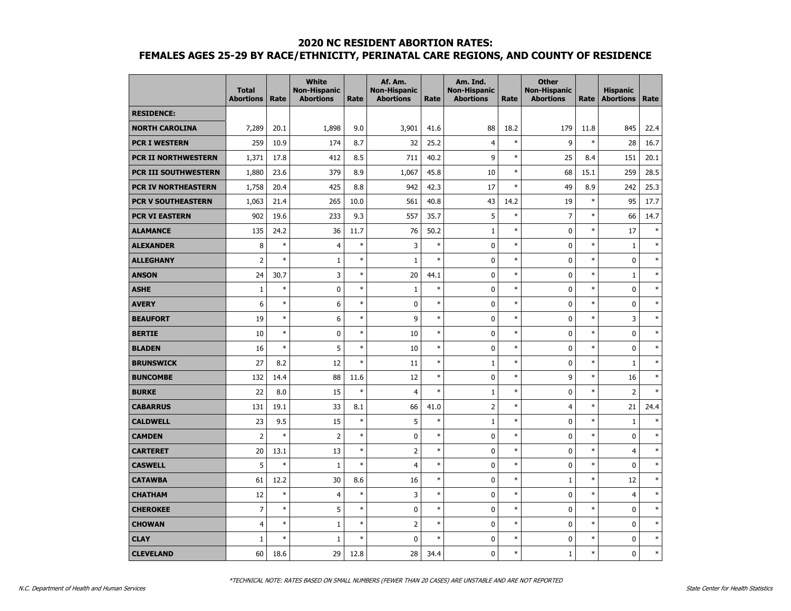|                            | <b>Total</b><br><b>Abortions</b> | Rate   | <b>White</b><br><b>Non-Hispanic</b><br><b>Abortions</b> | Rate   | Af. Am.<br><b>Non-Hispanic</b><br><b>Abortions</b> | Rate   | Am. Ind.<br><b>Non-Hispanic</b><br><b>Abortions</b> | Rate   | <b>Other</b><br><b>Non-Hispanic</b><br><b>Abortions</b> | Rate   | <b>Hispanic</b><br><b>Abortions</b> | Rate   |
|----------------------------|----------------------------------|--------|---------------------------------------------------------|--------|----------------------------------------------------|--------|-----------------------------------------------------|--------|---------------------------------------------------------|--------|-------------------------------------|--------|
| <b>RESIDENCE:</b>          |                                  |        |                                                         |        |                                                    |        |                                                     |        |                                                         |        |                                     |        |
| <b>NORTH CAROLINA</b>      | 7,289                            | 20.1   | 1,898                                                   | 9.0    | 3,901                                              | 41.6   | 88                                                  | 18.2   | 179                                                     | 11.8   | 845                                 | 22.4   |
| <b>PCR I WESTERN</b>       | 259                              | 10.9   | 174                                                     | 8.7    | 32                                                 | 25.2   | $\overline{4}$                                      | $\ast$ | 9                                                       | $\ast$ | 28                                  | 16.7   |
| <b>PCR II NORTHWESTERN</b> | 1,371                            | 17.8   | 412                                                     | 8.5    | 711                                                | 40.2   | 9                                                   | $\ast$ | 25                                                      | 8.4    | 151                                 | 20.1   |
| PCR III SOUTHWESTERN       | 1,880                            | 23.6   | 379                                                     | 8.9    | 1,067                                              | 45.8   | 10                                                  | $\ast$ | 68                                                      | 15.1   | 259                                 | 28.5   |
| PCR IV NORTHEASTERN        | 1,758                            | 20.4   | 425                                                     | 8.8    | 942                                                | 42.3   | 17                                                  | $\ast$ | 49                                                      | 8.9    | 242                                 | 25.3   |
| <b>PCR V SOUTHEASTERN</b>  | 1,063                            | 21.4   | 265                                                     | 10.0   | 561                                                | 40.8   | 43                                                  | 14.2   | 19                                                      | $\ast$ | 95                                  | 17.7   |
| <b>PCR VI EASTERN</b>      | 902                              | 19.6   | 233                                                     | 9.3    | 557                                                | 35.7   | 5                                                   | $\ast$ | $\overline{7}$                                          | $\ast$ | 66                                  | 14.7   |
| <b>ALAMANCE</b>            | 135                              | 24.2   | 36                                                      | 11.7   | 76                                                 | 50.2   | $\mathbf{1}$                                        | $\ast$ | 0                                                       | $\ast$ | 17                                  | $\ast$ |
| <b>ALEXANDER</b>           | 8                                | $\ast$ | $\overline{4}$                                          | $\ast$ | 3                                                  | $\ast$ | 0                                                   | $\ast$ | 0                                                       | $\ast$ | $\,1\,$                             | $\ast$ |
| <b>ALLEGHANY</b>           | $\overline{2}$                   | $\ast$ | $1\,$                                                   | $\ast$ | $\mathbf 1$                                        | $\ast$ | 0                                                   | $\ast$ | $\mathbf 0$                                             | $\ast$ | $\mathbf 0$                         | $\ast$ |
| <b>ANSON</b>               | 24                               | 30.7   | 3                                                       | $\ast$ | 20                                                 | 44.1   | 0                                                   | $\ast$ | 0                                                       | $\ast$ | $\mathbf 1$                         | $\ast$ |
| <b>ASHE</b>                | $\mathbf{1}$                     | $\ast$ | 0                                                       | $\ast$ | $\mathbf{1}$                                       | $\ast$ | 0                                                   | $\ast$ | 0                                                       | $\ast$ | $\mathbf 0$                         | $\ast$ |
| <b>AVERY</b>               | 6                                | $\ast$ | 6                                                       | $\ast$ | 0                                                  | $\ast$ | 0                                                   | $\ast$ | 0                                                       | $\ast$ | $\mathbf 0$                         | $\ast$ |
| <b>BEAUFORT</b>            | 19                               | $\ast$ | 6                                                       | $\ast$ | 9                                                  | $\ast$ | 0                                                   | $\ast$ | $\mathbf 0$                                             | $\ast$ | 3                                   | $\ast$ |
| <b>BERTIE</b>              | 10                               | $\ast$ | 0                                                       | $\ast$ | 10                                                 | $\ast$ | 0                                                   | $\ast$ | $\mathbf 0$                                             | $\ast$ | $\mathbf 0$                         | $\ast$ |
| <b>BLADEN</b>              | 16                               | $\ast$ | 5                                                       | $\ast$ | 10                                                 | $\ast$ | 0                                                   | $\ast$ | 0                                                       | *      | $\mathbf 0$                         | $\ast$ |
| <b>BRUNSWICK</b>           | 27                               | 8.2    | 12                                                      | $\ast$ | 11                                                 | $\ast$ | $\mathbf{1}$                                        | $\ast$ | 0                                                       | $\ast$ | $\mathbf{1}$                        | $\ast$ |
| <b>BUNCOMBE</b>            | 132                              | 14.4   | 88                                                      | 11.6   | 12                                                 | $\ast$ | 0                                                   | $\ast$ | 9                                                       | $\ast$ | 16                                  | $\ast$ |
| <b>BURKE</b>               | 22                               | 8.0    | 15                                                      | $\ast$ | $\overline{4}$                                     | $\ast$ | $\mathbf{1}$                                        | $\ast$ | $\mathbf 0$                                             | $\ast$ | $\overline{2}$                      | $\ast$ |
| <b>CABARRUS</b>            | 131                              | 19.1   | 33                                                      | 8.1    | 66                                                 | 41.0   | 2                                                   | $\ast$ | 4                                                       | $\ast$ | 21                                  | 24.4   |
| <b>CALDWELL</b>            | 23                               | 9.5    | 15                                                      | $\ast$ | 5                                                  | $\ast$ | $\mathbf{1}$                                        | $\ast$ | 0                                                       | $\ast$ | $\mathbf{1}$                        | $\ast$ |
| <b>CAMDEN</b>              | $\overline{2}$                   | $\ast$ | $\overline{2}$                                          | $\ast$ | $\mathbf 0$                                        | $\ast$ | 0                                                   | $\ast$ | 0                                                       | $\ast$ | $\mathbf 0$                         | $\ast$ |
| <b>CARTERET</b>            | 20                               | 13.1   | 13                                                      | $\ast$ | $\overline{2}$                                     | $\ast$ | 0                                                   | $\ast$ | $\mathbf 0$                                             | $\ast$ | $\overline{4}$                      | $\ast$ |
| <b>CASWELL</b>             | 5                                | $\ast$ | $1\,$                                                   | $\ast$ | $\overline{4}$                                     | $\ast$ | 0                                                   | $\ast$ | $\mathbf 0$                                             | $\ast$ | $\mathbf 0$                         | $\ast$ |
| <b>CATAWBA</b>             | 61                               | 12.2   | 30                                                      | 8.6    | 16                                                 | $\ast$ | 0                                                   | $\ast$ | $\mathbf{1}$                                            | $\ast$ | 12                                  | $\ast$ |
| <b>CHATHAM</b>             | 12                               | $\ast$ | $\overline{4}$                                          | $\ast$ | 3                                                  | $\ast$ | 0                                                   | $\ast$ | 0                                                       | $\ast$ | $\overline{4}$                      | $\ast$ |
| <b>CHEROKEE</b>            | $\overline{7}$                   | $\ast$ | 5                                                       | $\ast$ | $\mathbf 0$                                        | $\ast$ | 0                                                   | $\ast$ | 0                                                       | $\ast$ | $\mathbf 0$                         | $\ast$ |
| <b>CHOWAN</b>              | $\overline{4}$                   | $\ast$ | $\mathbf{1}$                                            | $\ast$ | $\overline{2}$                                     | $\ast$ | $\mathbf 0$                                         | $\ast$ | 0                                                       | $\ast$ | $\pmb{0}$                           | $\ast$ |
| <b>CLAY</b>                | $\mathbf{1}$                     | $\ast$ | $\mathbf 1$                                             | $\ast$ | $\mathbf 0$                                        | $\ast$ | 0                                                   | $\ast$ | 0                                                       | $\ast$ | $\mathbf 0$                         | $\ast$ |
| <b>CLEVELAND</b>           | 60                               | 18.6   | 29                                                      | 12.8   | 28                                                 | 34.4   | $\mathbf{0}$                                        | $\ast$ | $\mathbf{1}$                                            | $\ast$ | 0                                   | $\ast$ |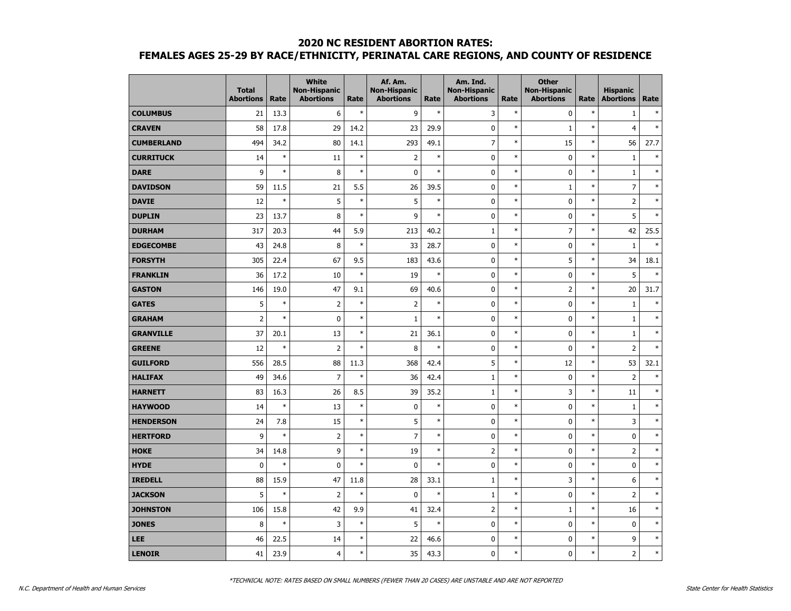|                   | <b>Total</b><br><b>Abortions</b> | Rate   | <b>White</b><br><b>Non-Hispanic</b><br><b>Abortions</b> | Rate   | Af. Am.<br><b>Non-Hispanic</b><br><b>Abortions</b> | Rate   | Am. Ind.<br><b>Non-Hispanic</b><br><b>Abortions</b> | Rate   | <b>Other</b><br><b>Non-Hispanic</b><br><b>Abortions</b> | Rate   | <b>Hispanic</b><br><b>Abortions</b> | Rate   |
|-------------------|----------------------------------|--------|---------------------------------------------------------|--------|----------------------------------------------------|--------|-----------------------------------------------------|--------|---------------------------------------------------------|--------|-------------------------------------|--------|
| <b>COLUMBUS</b>   | 21                               | 13.3   | 6                                                       | $\ast$ | 9                                                  | $\ast$ | 3                                                   | $\ast$ | $\mathbf 0$                                             | $\ast$ | $\mathbf{1}$                        | $\ast$ |
| <b>CRAVEN</b>     | 58                               | 17.8   | 29                                                      | 14.2   | 23                                                 | 29.9   | $\mathbf 0$                                         | $\ast$ | $\mathbf 1$                                             | $\ast$ | $\overline{4}$                      | $\ast$ |
| <b>CUMBERLAND</b> | 494                              | 34.2   | 80                                                      | 14.1   | 293                                                | 49.1   | $\overline{7}$                                      | $\ast$ | 15                                                      | $\ast$ | 56                                  | 27.7   |
| <b>CURRITUCK</b>  | 14                               | $\ast$ | 11                                                      | $\ast$ | $\overline{2}$                                     | $\ast$ | 0                                                   | $\ast$ | 0                                                       | $\ast$ | $\mathbf{1}$                        | $\ast$ |
| <b>DARE</b>       | 9                                | $\ast$ | 8                                                       | $\ast$ | $\pmb{0}$                                          | $\ast$ | 0                                                   | $\ast$ | 0                                                       | $\ast$ | $\mathbf{1}$                        | $\ast$ |
| <b>DAVIDSON</b>   | 59                               | 11.5   | 21                                                      | 5.5    | 26                                                 | 39.5   | $\mathbf 0$                                         | $\ast$ | $\mathbf{1}$                                            | $\ast$ | $\overline{7}$                      | $\ast$ |
| <b>DAVIE</b>      | 12                               | $\ast$ | 5                                                       | $\ast$ | 5                                                  | $\ast$ | $\mathbf 0$                                         | $\ast$ | $\mathbf 0$                                             | $\ast$ | $\overline{2}$                      | $\ast$ |
| <b>DUPLIN</b>     | 23                               | 13.7   | 8                                                       | $\ast$ | 9                                                  | $\ast$ | 0                                                   | $\ast$ | 0                                                       | $\ast$ | 5                                   | $\ast$ |
| <b>DURHAM</b>     | 317                              | 20.3   | 44                                                      | 5.9    | 213                                                | 40.2   | $\mathbf{1}$                                        | $\ast$ | 7                                                       | $\ast$ | 42                                  | 25.5   |
| <b>EDGECOMBE</b>  | 43                               | 24.8   | 8                                                       | $\ast$ | 33                                                 | 28.7   | 0                                                   | $\ast$ | 0                                                       | $\ast$ | $1\,$                               | $\ast$ |
| <b>FORSYTH</b>    | 305                              | 22.4   | 67                                                      | 9.5    | 183                                                | 43.6   | $\mathbf 0$                                         | $\ast$ | 5                                                       | $\ast$ | 34                                  | 18.1   |
| <b>FRANKLIN</b>   | 36                               | 17.2   | 10                                                      | $\ast$ | 19                                                 | $\ast$ | 0                                                   | $\ast$ | 0                                                       | $\ast$ | 5                                   | $\ast$ |
| <b>GASTON</b>     | 146                              | 19.0   | 47                                                      | 9.1    | 69                                                 | 40.6   | 0                                                   | $\ast$ | $\overline{2}$                                          | $\ast$ | 20                                  | 31.7   |
| <b>GATES</b>      | 5                                | $\ast$ | $\overline{2}$                                          | $\ast$ | $\overline{2}$                                     | $\ast$ | 0                                                   | $\ast$ | 0                                                       | $\ast$ | $\mathbf{1}$                        | $\ast$ |
| <b>GRAHAM</b>     | $\overline{2}$                   | $\ast$ | 0                                                       | $\ast$ | $\mathbf{1}$                                       | $\ast$ | $\mathbf 0$                                         | $\ast$ | $\mathbf 0$                                             | $\ast$ | $1\,$                               | $\ast$ |
| <b>GRANVILLE</b>  | 37                               | 20.1   | 13                                                      | $\ast$ | 21                                                 | 36.1   | $\mathbf 0$                                         | $\ast$ | $\mathbf 0$                                             | $\ast$ | $1\,$                               | $\ast$ |
| <b>GREENE</b>     | 12                               | $\ast$ | $\overline{2}$                                          | $\ast$ | 8                                                  | $\ast$ | 0                                                   | $\ast$ | 0                                                       | $\ast$ | $\overline{2}$                      | $\ast$ |
| <b>GUILFORD</b>   | 556                              | 28.5   | 88                                                      | 11.3   | 368                                                | 42.4   | 5                                                   | $\ast$ | 12                                                      | $\ast$ | 53                                  | 32.1   |
| <b>HALIFAX</b>    | 49                               | 34.6   | $\overline{7}$                                          | $\ast$ | 36                                                 | 42.4   | $\mathbf{1}$                                        | $\ast$ | 0                                                       | $\ast$ | $\overline{2}$                      | $\ast$ |
| <b>HARNETT</b>    | 83                               | 16.3   | 26                                                      | 8.5    | 39                                                 | 35.2   | $\mathbf{1}$                                        | $\ast$ | 3                                                       | $\ast$ | 11                                  | $\ast$ |
| <b>HAYWOOD</b>    | 14                               | $\ast$ | 13                                                      | $\ast$ | $\pmb{0}$                                          | $\ast$ | $\mathbf 0$                                         | $\ast$ | $\mathbf 0$                                             | $\ast$ | $1\,$                               | $\ast$ |
| <b>HENDERSON</b>  | 24                               | 7.8    | 15                                                      | $\ast$ | 5                                                  | $\ast$ | 0                                                   | $\ast$ | 0                                                       | $\ast$ | 3                                   | $\ast$ |
| <b>HERTFORD</b>   | 9                                | $\ast$ | $\overline{2}$                                          | $\ast$ | $\overline{7}$                                     | $\ast$ | 0                                                   | $\ast$ | 0                                                       | $\ast$ | 0                                   | $\ast$ |
| <b>HOKE</b>       | 34                               | 14.8   | 9                                                       | $\ast$ | 19                                                 | $\ast$ | $\overline{2}$                                      | $\ast$ | $\mathbf 0$                                             | $\ast$ | $\overline{2}$                      | $\ast$ |
| <b>HYDE</b>       | $\mathbf 0$                      | $\ast$ | 0                                                       | $\ast$ | $\pmb{0}$                                          | $\ast$ | 0                                                   | $\ast$ | 0                                                       | $\ast$ | 0                                   | $\ast$ |
| <b>IREDELL</b>    | 88                               | 15.9   | 47                                                      | 11.8   | 28                                                 | 33.1   | $1\,$                                               | $\ast$ | 3                                                       | $\ast$ | 6                                   | $\ast$ |
| <b>JACKSON</b>    | 5                                | $\ast$ | $\overline{2}$                                          | $\ast$ | $\mathbf 0$                                        | $\ast$ | $\mathbf{1}$                                        | $\ast$ | 0                                                       | $\ast$ | $\overline{2}$                      | $\ast$ |
| <b>JOHNSTON</b>   | 106                              | 15.8   | 42                                                      | 9.9    | 41                                                 | 32.4   | 2                                                   | $\ast$ | $\mathbf{1}$                                            | $\ast$ | 16                                  | $\ast$ |
| <b>JONES</b>      | 8                                | $\ast$ | 3                                                       | $\ast$ | 5                                                  | $\ast$ | 0                                                   | $\ast$ | 0                                                       | $\ast$ | $\mathbf 0$                         | $\ast$ |
| LEE               | 46                               | 22.5   | 14                                                      | $\ast$ | 22                                                 | 46.6   | $\mathbf 0$                                         | $\ast$ | $\mathbf 0$                                             | $\ast$ | 9                                   | $\ast$ |
| <b>LENOIR</b>     | 41                               | 23.9   | $\overline{4}$                                          | $\ast$ | 35                                                 | 43.3   | 0                                                   | $\ast$ | 0                                                       | $\ast$ | $\overline{2}$                      | $\ast$ |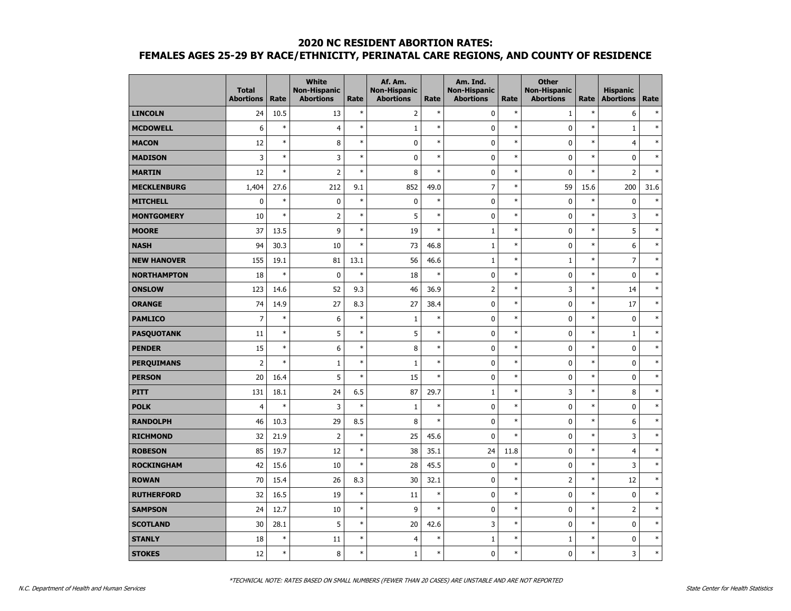|                    | <b>Total</b><br><b>Abortions</b> | Rate   | <b>White</b><br><b>Non-Hispanic</b><br><b>Abortions</b> | Rate   | Af. Am.<br><b>Non-Hispanic</b><br><b>Abortions</b> | Rate   | Am. Ind.<br><b>Non-Hispanic</b><br><b>Abortions</b> | Rate   | <b>Other</b><br><b>Non-Hispanic</b><br><b>Abortions</b> | Rate   | <b>Hispanic</b><br><b>Abortions</b> | Rate   |
|--------------------|----------------------------------|--------|---------------------------------------------------------|--------|----------------------------------------------------|--------|-----------------------------------------------------|--------|---------------------------------------------------------|--------|-------------------------------------|--------|
| <b>LINCOLN</b>     | 24                               | 10.5   | 13                                                      | $\ast$ | $\overline{2}$                                     | $\ast$ | 0                                                   | $\ast$ | $\mathbf{1}$                                            | $\ast$ | 6                                   | $\ast$ |
| <b>MCDOWELL</b>    | 6                                | $\ast$ | $\overline{4}$                                          | $\ast$ | $1\,$                                              | $\ast$ | 0                                                   | $\ast$ | $\mathbf 0$                                             | $\ast$ | $\mathbf 1$                         | $\ast$ |
| <b>MACON</b>       | 12                               | $\ast$ | 8                                                       | $\ast$ | $\mathbf 0$                                        | $\ast$ | $\mathbf 0$                                         | $\ast$ | $\mathbf 0$                                             | *      | $\overline{4}$                      | $\ast$ |
| <b>MADISON</b>     | 3                                | $\ast$ | 3                                                       | $\ast$ | $\mathbf 0$                                        | $\ast$ | $\mathbf 0$                                         | $\ast$ | $\mathbf 0$                                             | $\ast$ | $\mathbf 0$                         | $\ast$ |
| <b>MARTIN</b>      | 12                               | $\ast$ | $\overline{2}$                                          | $\ast$ | 8                                                  | $\ast$ | 0                                                   | $\ast$ | $\mathbf 0$                                             | $\ast$ | $\overline{2}$                      | $\ast$ |
| <b>MECKLENBURG</b> | 1,404                            | 27.6   | 212                                                     | 9.1    | 852                                                | 49.0   | $\overline{7}$                                      | $\ast$ | 59                                                      | 15.6   | 200                                 | 31.6   |
| <b>MITCHELL</b>    | $\mathbf 0$                      | $\ast$ | $\pmb{0}$                                               | $\ast$ | $\pmb{0}$                                          | $\ast$ | $\mathbf 0$                                         | $\ast$ | 0                                                       | $\ast$ | $\pmb{0}$                           | $\ast$ |
| <b>MONTGOMERY</b>  | 10                               | $\ast$ | $\overline{2}$                                          | $\ast$ | 5                                                  | $\ast$ | $\mathbf 0$                                         | $\ast$ | 0                                                       | $\ast$ | 3                                   | $\ast$ |
| <b>MOORE</b>       | 37                               | 13.5   | 9                                                       | $\ast$ | 19                                                 | $\ast$ | $\mathbf{1}$                                        | $\ast$ | 0                                                       | $\ast$ | 5                                   | $\ast$ |
| <b>NASH</b>        | 94                               | 30.3   | 10                                                      | $\ast$ | 73                                                 | 46.8   | $1\,$                                               | $\ast$ | 0                                                       | $\ast$ | 6                                   | $\ast$ |
| <b>NEW HANOVER</b> | 155                              | 19.1   | 81                                                      | 13.1   | 56                                                 | 46.6   | $\mathbf 1$                                         | $\ast$ | $\mathbf{1}$                                            | $\ast$ | $\overline{7}$                      | $\ast$ |
| <b>NORTHAMPTON</b> | 18                               | $\ast$ | 0                                                       | $\ast$ | 18                                                 | $\ast$ | $\mathbf 0$                                         | $\ast$ | $\mathbf 0$                                             | $\ast$ | $\mathbf 0$                         | $\ast$ |
| <b>ONSLOW</b>      | 123                              | 14.6   | 52                                                      | 9.3    | 46                                                 | 36.9   | $\overline{2}$                                      | $\ast$ | 3                                                       | $\ast$ | 14                                  | $\ast$ |
| <b>ORANGE</b>      | 74                               | 14.9   | 27                                                      | 8.3    | 27                                                 | 38.4   | $\mathbf 0$                                         | $\ast$ | $\mathbf 0$                                             | $\ast$ | 17                                  | $\ast$ |
| <b>PAMLICO</b>     | $\overline{7}$                   | $\ast$ | 6                                                       | $\ast$ | $1\,$                                              | $\ast$ | 0                                                   | $\ast$ | $\mathbf 0$                                             | $\ast$ | $\pmb{0}$                           | $\ast$ |
| <b>PASQUOTANK</b>  | 11                               | $\ast$ | 5                                                       | $\ast$ | 5                                                  | $\ast$ | $\mathbf 0$                                         | $\ast$ | $\mathbf 0$                                             | $\ast$ | $\mathbf 1$                         | $\ast$ |
| <b>PENDER</b>      | 15                               | $\ast$ | 6                                                       | $\ast$ | 8                                                  | $\ast$ | 0                                                   | $\ast$ | 0                                                       | $\ast$ | $\mathbf 0$                         | $\ast$ |
| <b>PERQUIMANS</b>  | $\overline{2}$                   | $\ast$ | $\mathbf{1}$                                            | $\ast$ | $\mathbf{1}$                                       | $\ast$ | $\mathbf 0$                                         | $\ast$ | 0                                                       | $\ast$ | $\mathbf 0$                         | $\ast$ |
| <b>PERSON</b>      | 20                               | 16.4   | 5                                                       | $\ast$ | 15                                                 | $\ast$ | $\mathbf 0$                                         | $\ast$ | $\mathbf 0$                                             | $\ast$ | $\mathbf 0$                         | $\ast$ |
| <b>PITT</b>        | 131                              | 18.1   | 24                                                      | 6.5    | 87                                                 | 29.7   | $\mathbf{1}$                                        | $\ast$ | 3                                                       | $\ast$ | 8                                   | $\ast$ |
| <b>POLK</b>        | $\overline{4}$                   | $\ast$ | 3                                                       | $\ast$ | $\mathbf{1}$                                       | $\ast$ | 0                                                   | $\ast$ | 0                                                       | $\ast$ | 0                                   | $\ast$ |
| <b>RANDOLPH</b>    | 46                               | 10.3   | 29                                                      | 8.5    | 8                                                  | $\ast$ | $\mathbf 0$                                         | $\ast$ | 0                                                       | $\ast$ | 6                                   | $\ast$ |
| <b>RICHMOND</b>    | 32                               | 21.9   | $\overline{2}$                                          | $\ast$ | 25                                                 | 45.6   | 0                                                   | $\ast$ | $\mathbf 0$                                             | $\ast$ | 3                                   | $\ast$ |
| <b>ROBESON</b>     | 85                               | 19.7   | 12                                                      | $\ast$ | 38                                                 | 35.1   | 24                                                  | 11.8   | $\mathbf 0$                                             | $\ast$ | $\overline{4}$                      | $\ast$ |
| <b>ROCKINGHAM</b>  | 42                               | 15.6   | 10                                                      | $\ast$ | 28                                                 | 45.5   | 0                                                   | $\ast$ | 0                                                       | $\ast$ | 3                                   | $\ast$ |
| <b>ROWAN</b>       | 70                               | 15.4   | 26                                                      | 8.3    | 30                                                 | 32.1   | $\mathbf 0$                                         | $\ast$ | $\overline{2}$                                          | $\ast$ | 12                                  | $\ast$ |
| <b>RUTHERFORD</b>  | 32                               | 16.5   | 19                                                      | $\ast$ | 11                                                 | $\ast$ | 0                                                   | $\ast$ | $\mathbf 0$                                             | $\ast$ | $\mathbf 0$                         | $\ast$ |
| <b>SAMPSON</b>     | 24                               | 12.7   | 10                                                      | $\ast$ | 9                                                  | $\ast$ | $\mathbf 0$                                         | $\ast$ | $\mathbf 0$                                             | $\ast$ | $\overline{2}$                      | $\ast$ |
| <b>SCOTLAND</b>    | 30                               | 28.1   | 5                                                       | $\ast$ | 20                                                 | 42.6   | 3                                                   | $\ast$ | 0                                                       | $\ast$ | $\pmb{0}$                           | $\ast$ |
| <b>STANLY</b>      | 18                               | $\ast$ | 11                                                      | $\ast$ | $\overline{4}$                                     | $\ast$ | $\mathbf{1}$                                        | $\ast$ | 1                                                       | $\ast$ | $\pmb{0}$                           | $\ast$ |
| <b>STOKES</b>      | 12                               | $\ast$ | 8                                                       | $\ast$ | $\mathbf{1}$                                       | $\ast$ | 0                                                   | $\ast$ | 0                                                       | $\ast$ | 3                                   | $\ast$ |